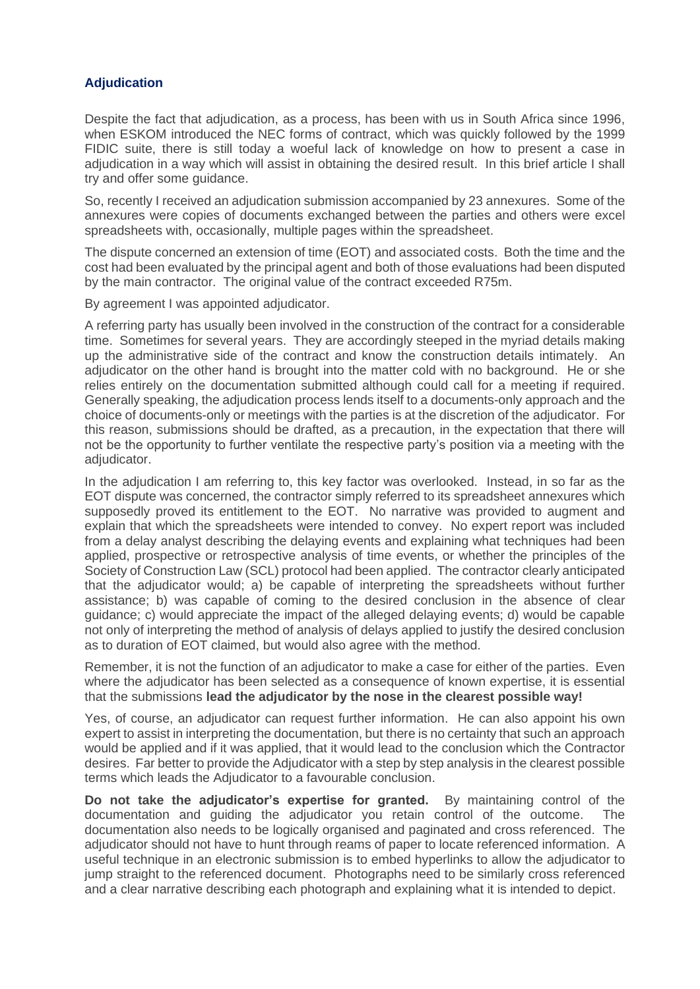## **Adjudication**

Despite the fact that adjudication, as a process, has been with us in South Africa since 1996, when ESKOM introduced the NEC forms of contract, which was quickly followed by the 1999 FIDIC suite, there is still today a woeful lack of knowledge on how to present a case in adjudication in a way which will assist in obtaining the desired result. In this brief article I shall try and offer some guidance.

So, recently I received an adjudication submission accompanied by 23 annexures. Some of the annexures were copies of documents exchanged between the parties and others were excel spreadsheets with, occasionally, multiple pages within the spreadsheet.

The dispute concerned an extension of time (EOT) and associated costs. Both the time and the cost had been evaluated by the principal agent and both of those evaluations had been disputed by the main contractor. The original value of the contract exceeded R75m.

By agreement I was appointed adjudicator.

A referring party has usually been involved in the construction of the contract for a considerable time. Sometimes for several years. They are accordingly steeped in the myriad details making up the administrative side of the contract and know the construction details intimately. An adjudicator on the other hand is brought into the matter cold with no background. He or she relies entirely on the documentation submitted although could call for a meeting if required. Generally speaking, the adjudication process lends itself to a documents-only approach and the choice of documents-only or meetings with the parties is at the discretion of the adjudicator. For this reason, submissions should be drafted, as a precaution, in the expectation that there will not be the opportunity to further ventilate the respective party's position via a meeting with the adiudicator.

In the adjudication I am referring to, this key factor was overlooked. Instead, in so far as the EOT dispute was concerned, the contractor simply referred to its spreadsheet annexures which supposedly proved its entitlement to the EOT. No narrative was provided to augment and explain that which the spreadsheets were intended to convey. No expert report was included from a delay analyst describing the delaying events and explaining what techniques had been applied, prospective or retrospective analysis of time events, or whether the principles of the Society of Construction Law (SCL) protocol had been applied. The contractor clearly anticipated that the adjudicator would; a) be capable of interpreting the spreadsheets without further assistance; b) was capable of coming to the desired conclusion in the absence of clear guidance; c) would appreciate the impact of the alleged delaying events; d) would be capable not only of interpreting the method of analysis of delays applied to justify the desired conclusion as to duration of EOT claimed, but would also agree with the method.

Remember, it is not the function of an adjudicator to make a case for either of the parties. Even where the adjudicator has been selected as a consequence of known expertise, it is essential that the submissions **lead the adjudicator by the nose in the clearest possible way!**

Yes, of course, an adjudicator can request further information. He can also appoint his own expert to assist in interpreting the documentation, but there is no certainty that such an approach would be applied and if it was applied, that it would lead to the conclusion which the Contractor desires. Far better to provide the Adjudicator with a step by step analysis in the clearest possible terms which leads the Adjudicator to a favourable conclusion.

**Do not take the adjudicator's expertise for granted.** By maintaining control of the documentation and guiding the adjudicator you retain control of the outcome. The documentation also needs to be logically organised and paginated and cross referenced. The adjudicator should not have to hunt through reams of paper to locate referenced information. A useful technique in an electronic submission is to embed hyperlinks to allow the adjudicator to jump straight to the referenced document. Photographs need to be similarly cross referenced and a clear narrative describing each photograph and explaining what it is intended to depict.